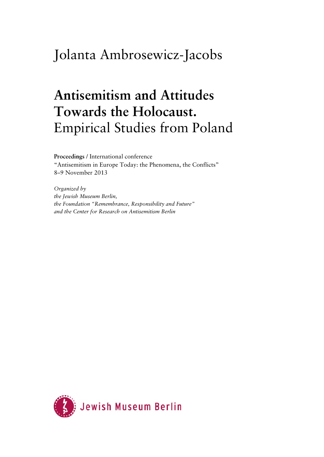## Jolanta Ambrosewicz-Jacobs

## **Antisemitism and Attitudes Towards the Holocaust.**  Empirical Studies from Poland

**Proceedings** / International conference "Antisemitism in Europe Today: the Phenomena, the Conflicts" 8–9 November 2013

*Organized by the Jewish Museum Berlin, the Foundation "Remembrance, Responsibility and Future" and the Center for Research on Antisemitism Berlin* 

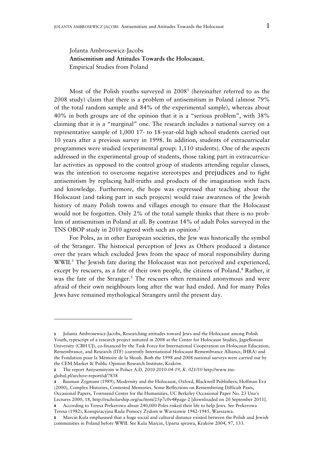## Jolanta Ambrosewicz-Jacobs **Antisemitism and Attitudes Towards the Holocaust.**  Empirical Studies from Poland

Most of the Polish youths surveyed in 2008<sup>1</sup> (hereinafter referred to as the 2008 study) claim that there is a problem of antisemitism in Poland (almost 79% of the total random sample and 84% of the experimental sample), whereas about 40% in both groups are of the opinion that it is a "serious problem", with 38% claiming that it is a "marginal" one. The research includes a national survey on a representative sample of 1,000 17- to 18-year-old high school students carried out 10 years after a previous survey in 1998. In addition, students of extracurricular programmes were studied (experimental group: 1,110 students). One of the aspects addressed in the experimental group of students, those taking part in extracurricular activities as opposed to the control group of students attending regular classes, was the intention to overcome negative stereotypes and prejudices and to fight antisemitism by replacing half-truths and products of the imagination with facts and knowledge. Furthermore, the hope was expressed that teaching about the Holocaust (and taking part in such projects) would raise awareness of the Jewish history of many Polish towns and villages enough to ensure that the Holocaust would not be forgotten. Only 2% of the total sample thinks that there is no problem of antisemitism in Poland at all. By contrast 14% of adult Poles surveyed in the TNS OBOP study in 2010 agreed with such an opinion.<sup>2</sup>

For Poles, as in other European societies, the Jew was historically the symbol of the Stranger. The historical perception of Jews as Others produced a distance over the years which excluded Jews from the space of moral responsibility during WWII.<sup>3</sup> The Jewish fate during the Holocaust was not perceived and experienced, except by rescuers, as a fate of their own people, the citizens of Poland.<sup>4</sup> Rather, it was the fate of the Stranger.<sup>5</sup> The rescuers often remained anonymous and were afraid of their own neighbours long after the war had ended. And for many Poles Jews have remained mythological Strangers until the present day.

**<sup>1</sup>** Jolanta Ambrosewicz-Jacobs, Researching attitudes toward Jews and the Holocaust among Polish Youth, typescript of a research project initiated in 2008 at the Center for Holocaust Studies, Jagiellonian University (CBH UJ), co-financed by the Task Force for International Cooperation on Holocaust Education, Remembrance, and Research (ITF) (currently International Holocaust Remembrance Alliance, IHRA) and the Fondation pour la Mémoire de la Shoah. Both the 1998 and 2008 national surveys were carried out by the CEM Market & Public Opinion Research Institute, Kraków.

**<sup>2</sup>** The report Antysemityzm w Polsce A.D. 2010 *2010-04-19, K. 021/10* http://www.tnsglobal.pl/archive-report/id/7838

**<sup>3</sup>** Bauman Zygmunt (1989), Modernity and the Holocaust, Oxford, Blackwell Publishers; Hoffman Eva (2000), Complex Histories, Contested Memories. Some Reflections on Remembering Difficult Pasts, Occasional Papers, Townsend Center for the Humanities, UC Berkeley Occasional Paper No. 23 Una's Lectures 2000, 18, http://escholarship.org/uc/item/25p7c0v4#page-2 [downloaded on 20 September 2011].

**<sup>4</sup>** According to Teresa Prekerowa about 240,000 Poles risked their life to help Jews. See Prekerowa Teresa (1982), Konspiracyjna Rada Pomocy Żydom w Warszawie 1942-1945, Warszawa.

**<sup>5</sup>** Marcin Kula emphasised that a huge social and cultural distance existed between the Polish and Jewish communities in Poland before WWII. See Kula Marcin, Uparta sprawa, Kraków 2004, 97, 133.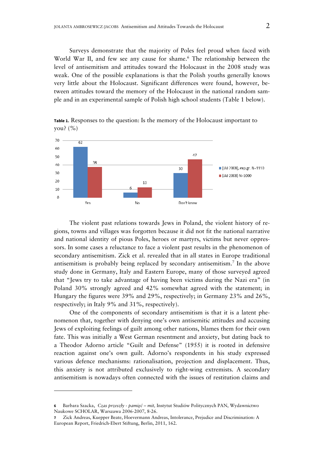Surveys demonstrate that the majority of Poles feel proud when faced with World War II, and few see any cause for shame.<sup>6</sup> The relationship between the level of antisemitism and attitudes toward the Holocaust in the 2008 study was weak. One of the possible explanations is that the Polish youths generally knows very little about the Holocaust. Significant differences were found, however, between attitudes toward the memory of the Holocaust in the national random sample and in an experimental sample of Polish high school students (Table 1 below).



**Table 1.** Responses to the question: Is the memory of the Holocaust important to you? (%)

The violent past relations towards Jews in Poland, the violent history of regions, towns and villages was forgotten because it did not fit the national narrative and national identity of pious Poles, heroes or martyrs, victims but never oppressors. In some cases a reluctance to face a violent past results in the phenomenon of secondary antisemitism. Zick et al. revealed that in all states in Europe traditional antisemitism is probably being replaced by secondary antisemitism.7 In the above study done in Germany, Italy and Eastern Europe, many of those surveyed agreed that "Jews try to take advantage of having been victims during the Nazi era" (in Poland 30% strongly agreed and 42% somewhat agreed with the statement; in Hungary the figures were 39% and 29%, respectively; in Germany 23% and 26%, respectively; in Italy 9% and 31%, respectively).

One of the components of secondary antisemitism is that it is a latent phenomenon that, together with denying one's own antisemitic attitudes and accusing Jews of exploiting feelings of guilt among other nations, blames them for their own fate. This was initially a West German resentment and anxiety, but dating back to a Theodor Adorno article "Guilt and Defense" (1955) it is rooted in defensive reaction against one's own guilt. Adorno's respondents in his study expressed various defence mechanisms: rationalisation, projection and displacement. Thus, this anxiety is not attributed exclusively to right-wing extremists. A secondary antisemitism is nowadays often connected with the issues of restitution claims and

**<sup>6</sup>**Barbara Szacka, *Czas przeszły - pamięć – mit,* Instytut Studiów Politycznych PAN, Wydawnictwo Naukowe SCHOLAR, Warszawa 2006-2007, 8-26.

**<sup>7</sup>** Zick Andreas, Kuepper Beate, Hoevermann Andreas, Intolerance, Prejudice and Discrimination: A European Report, Friedrich-Ebert Stiftung, Berlin, 2011, 162.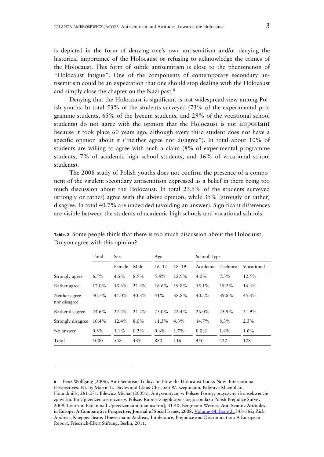is depicted in the form of denying one's own antisemitism and/or denying the historical importance of the Holocaust or refusing to acknowledge the crimes of the Holocaust. This form of subtle antisemitism is close to the phenomenon of "Holocaust fatigue". One of the components of contemporary secondary antisemitism could be an expectation that one should stop dealing with the Holocaust and simply close the chapter on the Nazi past.<sup>8</sup>

Denying that the Holocaust is significant is not widespread view among Polish youths. In total 53% of the students surveyed (73% of the experimental programme students, 65% of the lyceum students, and 29% of the vocational school students) do not agree with the opinion that the Holocaust is not important because it took place 60 years ago, although every third student does not have a specific opinion about it ("neither agree nor disagree"). In total about 10% of students are willing to agree with such a claim (8% of experimental programme students, 7% of academic high school students, and 16% of vocational school students).

The 2008 study of Polish youths does not confirm the presence of a component of the virulent secondary antisemitism expressed as a belief in there being too much discussion about the Holocaust. In total 23.5% of the students surveyed (strongly or rather) agree with the above opinion, while 35% (strongly or rather) disagree. In total 40.7% are undecided (avoiding an answer). Significant differences are visible between the students of academic high schools and vocational schools.

|                               | Total    | <b>Sex</b> |          | Age       |           | School Type        |          |            |
|-------------------------------|----------|------------|----------|-----------|-----------|--------------------|----------|------------|
|                               |          | Female     | Male     | $16 - 17$ | $18 - 19$ | Academic Technical |          | Vocational |
| Strongly agree                | $6.5\%$  | $4.5\%$    | 8.9%     | 5.6%      | 12.9%     | $4.0\%$            | $7.3\%$  | 12.5%      |
| Rather agree                  | 17.0%    | 13.6%      | 21.4%    | $16.6\%$  | 19.8%     | $1.5.1\%$          | $19.2\%$ | 16.4%      |
| Neither agree<br>nor disagree | 40.7%    | 41.0%      | $40.3\%$ | 41%       | 38.8%     | 40.2%              | 39.8%    | 45.3%      |
| Rather disagree               | 24.6%    | 27.4%      | 21.2%    | $2.5.0\%$ | 22.4%     | $26.0\%$           | 23.9%    | 21.9%      |
| Strongly disagree             | $10.4\%$ | 12.4%      | $8.0\%$  | 11.3%     | $4.3\%$   | 14.7%              | $8.3\%$  | $2.3\%$    |
| No answer                     | $0.8\%$  | 1.1%       | $0.2\%$  | $0.6\%$   | 1.7%      | $0.0\%$            | $1.4\%$  | $1.6\%$    |
| Total                         | 1000     | 558        | 439      | 880       | 116       | 450                | 422      | 128        |

**Table. 2**Some people think that there is too much discussion about the Holocaust. Do you agree with this opinion?

**<sup>8</sup>**Benz Wolfgang (2006), Anti-Semitism Today. In: How the Holocaust Looks Now. International Perspectives. Ed. by Martin L. Davies and Claus-Christian W. Szejnmann, Palgrave Macmillan, Houndmills, 261-271; Bilewicz Michał (2009a), Antysemityzm w Polsce: Formy, przyczyny i konsekwencje zjawiska. In: Uprzedzenia etniczne w Polsce. Raport z ogólnopolskiego sondażu Polish Prejudice Survey 2009, Centrum Badań nad Uprzedzeniami [manuscript], 31-40; Bergmann Werner**, Anti-Semitic Attitudes in Europe: A Comparative Perspective, Journal of Social Issues, 2008,** Volume 64, Issue 2, 343–362; Zick Andreas, Kuepper Beate, Hoevermann Andreas, Intolerance, Prejudice and Discrimination: A European Report, Friedrich-Ebert Stiftung, Berlin, 2011.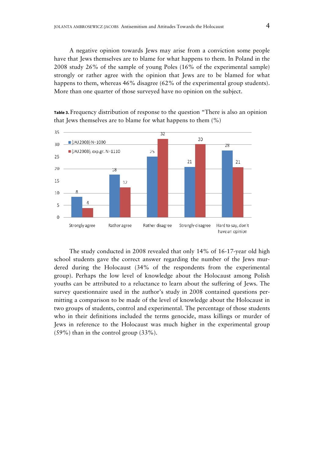A negative opinion towards Jews may arise from a conviction some people have that Jews themselves are to blame for what happens to them. In Poland in the 2008 study 26% of the sample of young Poles (16% of the experimental sample) strongly or rather agree with the opinion that Jews are to be blamed for what happens to them, whereas 46% disagree (62% of the experimental group students). More than one quarter of those surveyed have no opinion on the subject.

**Table 3.** Frequency distribution of response to the question "There is also an opinion that Jews themselves are to blame for what happens to them  $(\%)$ 



The study conducted in 2008 revealed that only 14% of 16-17-year old high school students gave the correct answer regarding the number of the Jews murdered during the Holocaust (34% of the respondents from the experimental group). Perhaps the low level of knowledge about the Holocaust among Polish youths can be attributed to a reluctance to learn about the suffering of Jews. The survey questionnaire used in the author's study in 2008 contained questions permitting a comparison to be made of the level of knowledge about the Holocaust in two groups of students, control and experimental. The percentage of those students who in their definitions included the terms genocide, mass killings or murder of Jews in reference to the Holocaust was much higher in the experimental group (59%) than in the control group (33%).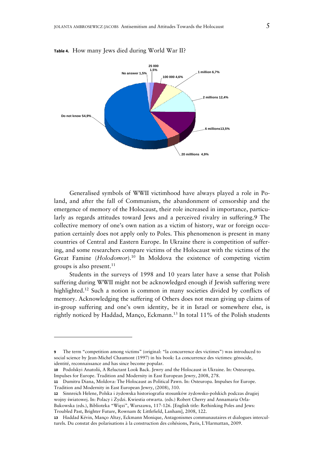

**Table 4.** How many Jews died during World War II?

Generalised symbols of WWII victimhood have always played a role in Poland, and after the fall of Communism, the abandonment of censorship and the emergence of memory of the Holocaust, their role increased in importance, particularly as regards attitudes toward Jews and a perceived rivalry in suffering. The collective memory of one's own nation as a victim of history, war or foreign occupation certainly does not apply only to Poles. This phenomenon is present in many countries of Central and Eastern Europe. In Ukraine there is competition of suffering, and some researchers compare victims of the Holocaust with the victims of the Great Famine (*Holodomor*).<sup>10</sup> In Moldova the existence of competing victim groups is also present. $11$ 

Students in the surveys of 1998 and 10 years later have a sense that Polish suffering during WWII might not be acknowledged enough if Jewish suffering were highlighted.<sup>12</sup> Such a notion is common in many societies divided by conflicts of memory. Acknowledging the suffering of Others does not mean giving up claims of in-group suffering and one's own identity, be it in Israel or somewhere else, is rightly noticed by Haddad, Manço, Eckmann.13 In total 11% of the Polish students

**<sup>9</sup>** The term "competition among victims" (original: "la concurrence des victimes") was introduced to social science by Jean-Michel Chaumont (1997) in his book: La concurrence des victimes: génocide, identité, reconnaissance and has since become popular.

**<sup>10</sup>** Podolskyi Anatolii, A Reluctant Look Back. Jewry and the Holocaust in Ukraine. In: Osteuropa. Impulses for Europe. Tradition and Modernity in East European Jewry, 2008, 278.

**<sup>11</sup>** Dumitru Diana, Moldova: The Holocaust as Political Pawn. In: Osteuropa. Impulses for Europe. Tradition and Modernity in East European Jewry, (2008), 310.

**<sup>12</sup>** Sinnreich Helene, Polska i żydowska historiografia stosunków żydowsko-polskich podczas drugiej wojny światowej. In: Polacy i Żydzi. Kwiestia otwarta. (eds.) Robert Cherry and Annamaria Orla-Bukowska (eds.), Biblioteka "Więzi", Warszawa, 117-126. [English title: Rethinking Poles and Jews: Troubled Past, Brighter Future, Rownam & Littlefield, Lanham], 2008, 122.

**<sup>13</sup>** Haddad Kévin, Manço Altay, Eckmann Monique, Antagonismes communautaires et dialogues interculturels. Du constat des polarisations à la construction des cohésions, Paris, L'Harmattan, 2009.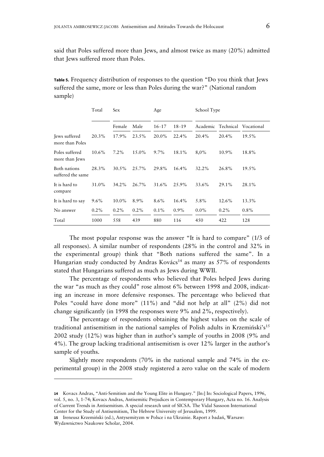said that Poles suffered more than Jews, and almost twice as many (20%) admitted that Jews suffered more than Poles.

**Table 5.** Frequency distribution of responses to the question "Do you think that Jews suffered the same, more or less than Poles during the war?" (National random sample)

|                                   | Total    | Sex      |         | Age       | School Type |                    |         |            |
|-----------------------------------|----------|----------|---------|-----------|-------------|--------------------|---------|------------|
|                                   |          | Female   | Male    | $16 - 17$ | $18 - 19$   | Academic Technical |         | Vocational |
| Jews suffered<br>more than Poles  | 20.3%    | 17.9%    | 23.5%   | 20.0%     | 22.4%       | $20.4\%$           | 20.4%   | 19.5%      |
| Poles suffered<br>more than Jews  | $10.6\%$ | $7.2\%$  | 15.0%   | $9.7\%$   | 18.1%       | $8,0\%$            | 10.9%   | 18.8%      |
| Both nations<br>suffered the same | 28.3%    | 30.5%    | 25.7%   | 29.8%     | $16.4\%$    | 32.2%              | 26.8%   | 19.5%      |
| It is hard to<br>compare          | 31.0%    | $34.2\%$ | 26.7%   | 31.6%     | 25.9%       | 33.6%              | 29.1%   | 28.1%      |
| It is hard to say                 | $9.6\%$  | 10.0%    | 8.9%    | $8.6\%$   | 16.4%       | 5.8%               | 12.6%   | 13.3%      |
| No answer                         | $0.2\%$  | $0.2\%$  | $0.2\%$ | $0.1\%$   | $0.9\%$     | $0.0\%$            | $0.2\%$ | $0.8\%$    |
| Total                             | 1000     | 558      | 439     | 880       | 116         | 450                | 422     | 128        |

The most popular response was the answer "It is hard to compare" (1/3 of all responses). A similar number of respondents (28% in the control and 32% in the experimental group) think that "Both nations suffered the same". In a Hungarian study conducted by Andras Kovács<sup>14</sup> as many as 57% of respondents stated that Hungarians suffered as much as Jews during WWII.

The percentage of respondents who believed that Poles helped Jews during the war "as much as they could" rose almost 6% between 1998 and 2008, indicating an increase in more defensive responses. The percentage who believed that Poles "could have done more" (11%) and "did not help at all" (2%) did not change significantly (in 1998 the responses were 9% and 2%, respectively).

The percentage of respondents obtaining the highest values on the scale of traditional antisemitism in the national samples of Polish adults in Krzemiński's<sup>15</sup> 2002 study (12%) was higher than in author's sample of youths in 2008 (9% and 4%). The group lacking traditional antisemitism is over 12% larger in the author's sample of youths.

Slightly more respondents (70% in the national sample and 74% in the experimental group) in the 2008 study registered a zero value on the scale of modern

**<sup>14</sup>** Kovacs Andras, "Anti-Semitism and the Young Elite in Hungary." [In:] In: Sociological Papers, 1996, vol. 5, no. 3, 1-74; Kovacs Andras, Antisemitic Prejudices in Contemporary Hungary, Acta no. 16. Analysis of Current Trends in Antisemitism. A special research unit of SICSA. The Vidal Sassoon International Center for the Study of Antisemitism, The Hebrew University of Jerusalem, 1999.

**<sup>15</sup>** Ireneusz Krzemiński (ed.), Antysemityzm w Polsce i na Ukrainie. Raport z badań, Warsaw: Wydawnictwo Naukowe Scholar, 2004.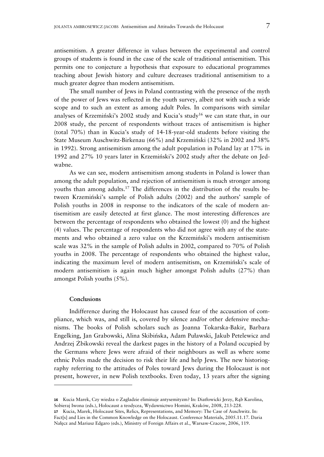antisemitism. A greater difference in values between the experimental and control groups of students is found in the case of the scale of traditional antisemitism. This permits one to conjecture a hypothesis that exposure to educational programmes teaching about Jewish history and culture decreases traditional antisemitism to a much greater degree than modern antisemitism.

The small number of Jews in Poland contrasting with the presence of the myth of the power of Jews was reflected in the youth survey, albeit not with such a wide scope and to such an extent as among adult Poles. In comparisons with similar analyses of Krzemiński's 2002 study and Kucia's study<sup>16</sup> we can state that, in our 2008 study, the percent of respondents without traces of antisemitism is higher (total 70%) than in Kucia's study of 14-18-year-old students before visiting the State Museum Auschwitz-Birkenau (66%) and Krzemiński (32% in 2002 and 38% in 1992). Strong antisemitism among the adult population in Poland lay at 17% in 1992 and 27% 10 years later in Krzemiński's 2002 study after the debate on Jedwabne.

As we can see, modern antisemitism among students in Poland is lower than among the adult population, and rejection of antisemitism is much stronger among youths than among adults.<sup>17</sup> The differences in the distribution of the results between Krzemiński's sample of Polish adults (2002) and the authors' sample of Polish youths in 2008 in response to the indicators of the scale of modern antisemitism are easily detected at first glance. The most interesting differences are between the percentage of respondents who obtained the lowest (0) and the highest (4) values. The percentage of respondents who did not agree with any of the statements and who obtained a zero value on the Krzemiński's modern antisemitism scale was 32% in the sample of Polish adults in 2002, compared to 70% of Polish youths in 2008. The percentage of respondents who obtained the highest value, indicating the maximum level of modern antisemitism, on Krzemiński's scale of modern antisemitism is again much higher amongst Polish adults (27%) than amongst Polish youths (5%).

## **Conclusions**

-

Indifference during the Holocaust has caused fear of the accusation of compliance, which was, and still is, covered by silence and/or other defensive mechanisms. The books of Polish scholars such as Joanna Tokarska-Bakir, Barbara Engelking, Jan Grabowski, Alina Skibińska, Adam Puławski, Jakub Petelewicz and Andrzej Żbikowski reveal the darkest pages in the history of a Poland occupied by the Germans where Jews were afraid of their neighbours as well as where some ethnic Poles made the decision to risk their life and help Jews. The new historiography referring to the attitudes of Poles toward Jews during the Holocaust is not present, however, in new Polish textbooks. Even today, 13 years after the signing

**<sup>16</sup>** Kucia Marek, Czy wiedza o Zagładzie eliminuje antysemityzm? In: Diatłowicki Jerzy, Rąb Karolina, Sobieraj Iwona (eds.), Holocaust a teodycea, Wydawnictwo Homini, Kraków, 2008, 213-228.

**<sup>17</sup>** Kucia, Marek, Holocaust Sites, Relics, Representations, and Memory: The Case of Auschwitz. In: Fact[s] and Lies in the Common Knowledge on the Holocaust. Conference Materials, 2005.11.17. Daria Nałęcz and Mariusz Edgaro (eds.), Ministry of Foreign Affairs et al., Warsaw-Cracow, 2006, 119.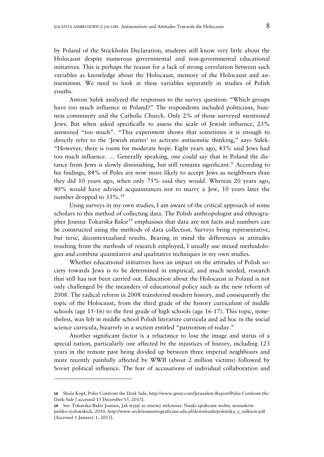by Poland of the Stockholm Declaration, students still know very little about the Holocaust despite numerous governmental and non-governmental educational initiatives. This is perhaps the reason for a lack of strong correlation between such variables as knowledge about the Holocaust, memory of the Holocaust and antisemitism. We need to look at these variables separately in studies of Polish youths.

Antoni Sułek analyzed the responses to the survey question: "Which groups have too much influence in Poland?" The respondents included politicians, business community and the Catholic Church. Only 2% of those surveyed mentioned Jews. But when asked specifically to assess the scale of Jewish influence, 23% answered "too much". "This experiment shows that sometimes it is enough to directly refer to the 'Jewish matter' to activate antisemitic thinking," says Sułek. "However, there is room for moderate hope. Eight years ago, 43% said Jews had too much influence. … Generally speaking, one could say that in Poland the distance from Jews is slowly diminishing, but still remains significant." According to his findings, 84% of Poles are now more likely to accept Jews as neighbours than they did 10 years ago, when only 75% said they would. Whereas 20 years ago, 40% would have advised acquaintances not to marry a Jew, 10 years later the number dropped to  $33\%$ .<sup>18</sup>

Using surveys in my own studies, I am aware of the critical approach of some scholars to this method of collecting data. The Polish anthropologist and ethnographer Joanna Tokarska-Bakir<sup>19</sup> emphasises that data are not facts and numbers can be constructed using the methods of data collection. Surveys bring representative, but terse, decontextualised results. Bearing in mind the differences in attitudes resulting from the methods of research employed, I usually use mixed methodologies and combine quantitative and qualitative techniques in my own studies.

Whether educational initiatives have an impact on the attitudes of Polish society towards Jews is to be determined in empirical, and much needed, research that still has not been carried out. Education about the Holocaust in Poland is not only challenged by the meanders of educational policy such as the new reform of 2008. The radical reform in 2008 transferred modern history, and consequently the topic of the Holocaust, from the third grade of the history curriculum of middle schools (age 15-16) to the first grade of high schools (age 16-17). This topic, nonetheless, was left in middle school Polish literature curricula and ad hoc in the social science curricula, bizarrely in a section entitled "patriotism of today."

Another significant factor is a reluctance to lose the image and status of a special nation, particularly one affected by the injustices of history, including 123 years in the remote past being divided up between three imperial neighbours and more recently painfully affected by WWII (about 2 million victims) followed by Soviet political influence. The fear of accusations of individual collaboration and

**<sup>18</sup>** Shula Kopf, Poles Confront the Dark Side, http://www.jpost.com/Jerusalem-Report/Poles-Confront-the-Dark-Side [ accessed 15 December 15, 2013].

**<sup>19</sup>** See: Tokarska-Bakir Joanna, Jak wyjść ze zmowy milczenia. Nauki społeczne wobec stosunków polsko-żydowskich, 2010, http://www.archiwumetnograficzne.edu.pl/downloads/polemika\_z\_sulkiem.pdf [Accessed 1 January 1, 2013].